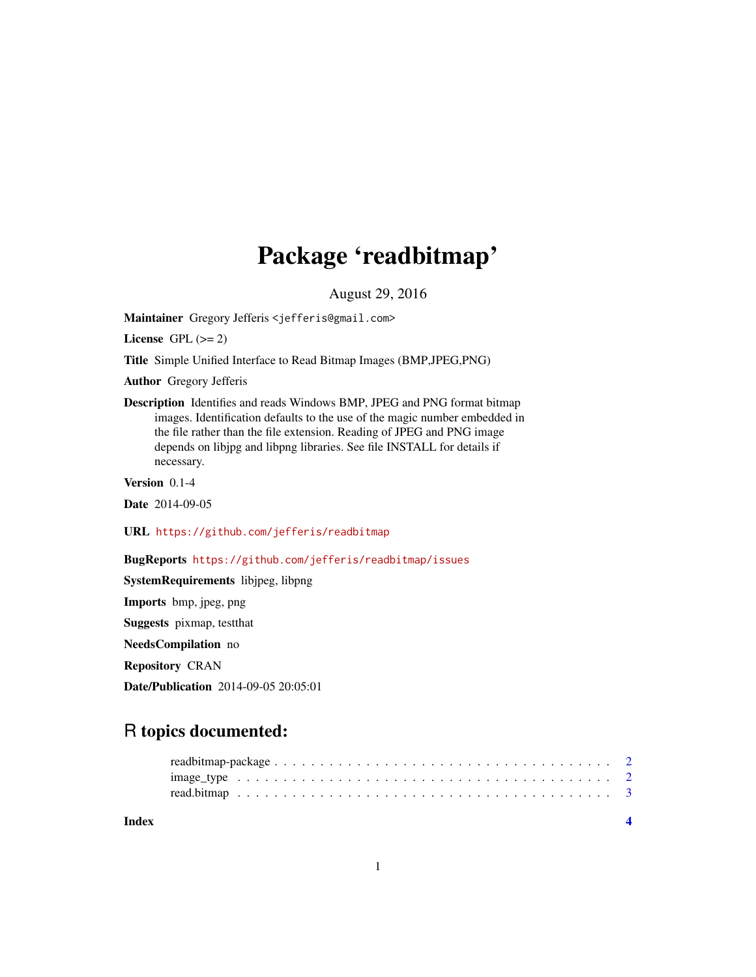## Package 'readbitmap'

August 29, 2016

<span id="page-0-0"></span>Maintainer Gregory Jefferis <jefferis@gmail.com>

License GPL  $(>= 2)$ 

Title Simple Unified Interface to Read Bitmap Images (BMP,JPEG,PNG)

Author Gregory Jefferis

Description Identifies and reads Windows BMP, JPEG and PNG format bitmap images. Identification defaults to the use of the magic number embedded in the file rather than the file extension. Reading of JPEG and PNG image depends on libjpg and libpng libraries. See file INSTALL for details if necessary.

Version 0.1-4

Date 2014-09-05

URL <https://github.com/jefferis/readbitmap>

BugReports <https://github.com/jefferis/readbitmap/issues>

SystemRequirements libjpeg, libpng

Imports bmp, jpeg, png

Suggests pixmap, testthat

NeedsCompilation no

Repository CRAN

Date/Publication 2014-09-05 20:05:01

### R topics documented:

| Index |                                                                                                                          |  |  |  |  |  |  |  |  |  |  |  |  |  |  |  |  |
|-------|--------------------------------------------------------------------------------------------------------------------------|--|--|--|--|--|--|--|--|--|--|--|--|--|--|--|--|
|       |                                                                                                                          |  |  |  |  |  |  |  |  |  |  |  |  |  |  |  |  |
|       | $image_type \dots \dots \dots \dots \dots \dots \dots \dots \dots \dots \dots \dots \dots \dots \dots \dots \dots \dots$ |  |  |  |  |  |  |  |  |  |  |  |  |  |  |  |  |
|       |                                                                                                                          |  |  |  |  |  |  |  |  |  |  |  |  |  |  |  |  |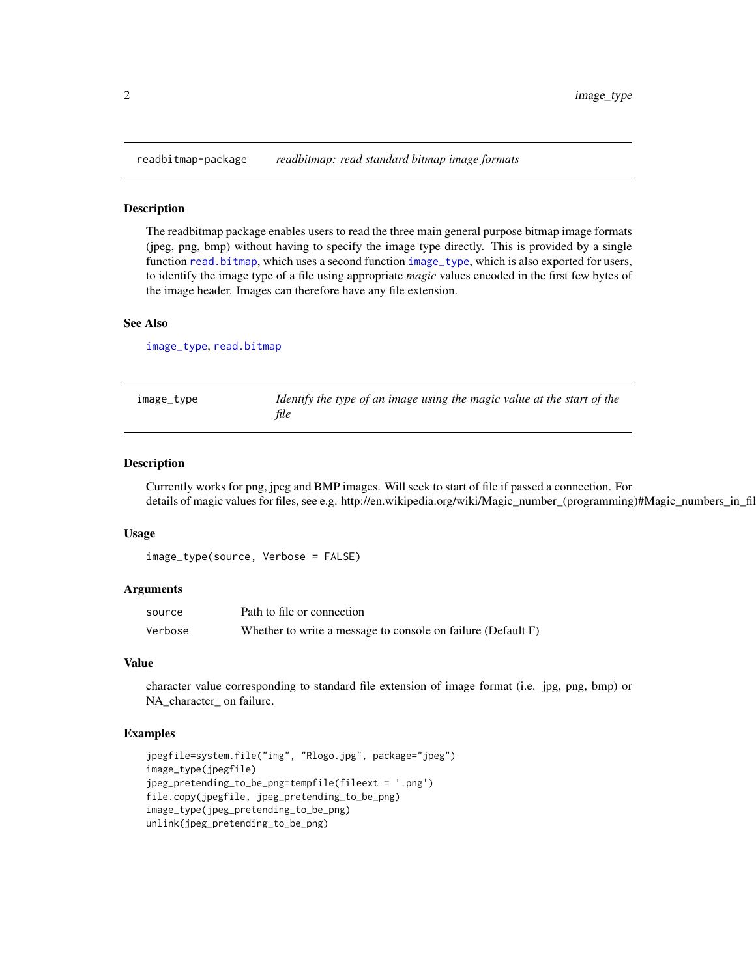<span id="page-1-0"></span>readbitmap-package *readbitmap: read standard bitmap image formats*

#### Description

The readbitmap package enables users to read the three main general purpose bitmap image formats (jpeg, png, bmp) without having to specify the image type directly. This is provided by a single function [read.bitmap](#page-2-1), which uses a second function [image\\_type](#page-1-1), which is also exported for users, to identify the image type of a file using appropriate *magic* values encoded in the first few bytes of the image header. Images can therefore have any file extension.

#### See Also

[image\\_type](#page-1-1), [read.bitmap](#page-2-1)

<span id="page-1-1"></span>

| image_type | Identify the type of an image using the magic value at the start of the |
|------------|-------------------------------------------------------------------------|
|            | file                                                                    |

#### Description

Currently works for png, jpeg and BMP images. Will seek to start of file if passed a connection. For details of magic values for files, see e.g. http://en.wikipedia.org/wiki/Magic\_number\_(programming)#Magic\_numbers\_in\_fil

#### Usage

```
image_type(source, Verbose = FALSE)
```
#### Arguments

| source  | Path to file or connection                                   |
|---------|--------------------------------------------------------------|
| Verbose | Whether to write a message to console on failure (Default F) |

#### Value

character value corresponding to standard file extension of image format (i.e. jpg, png, bmp) or NA\_character\_ on failure.

#### Examples

```
jpegfile=system.file("img", "Rlogo.jpg", package="jpeg")
image_type(jpegfile)
jpeg_pretending_to_be_png=tempfile(fileext = '.png')
file.copy(jpegfile, jpeg_pretending_to_be_png)
image_type(jpeg_pretending_to_be_png)
unlink(jpeg_pretending_to_be_png)
```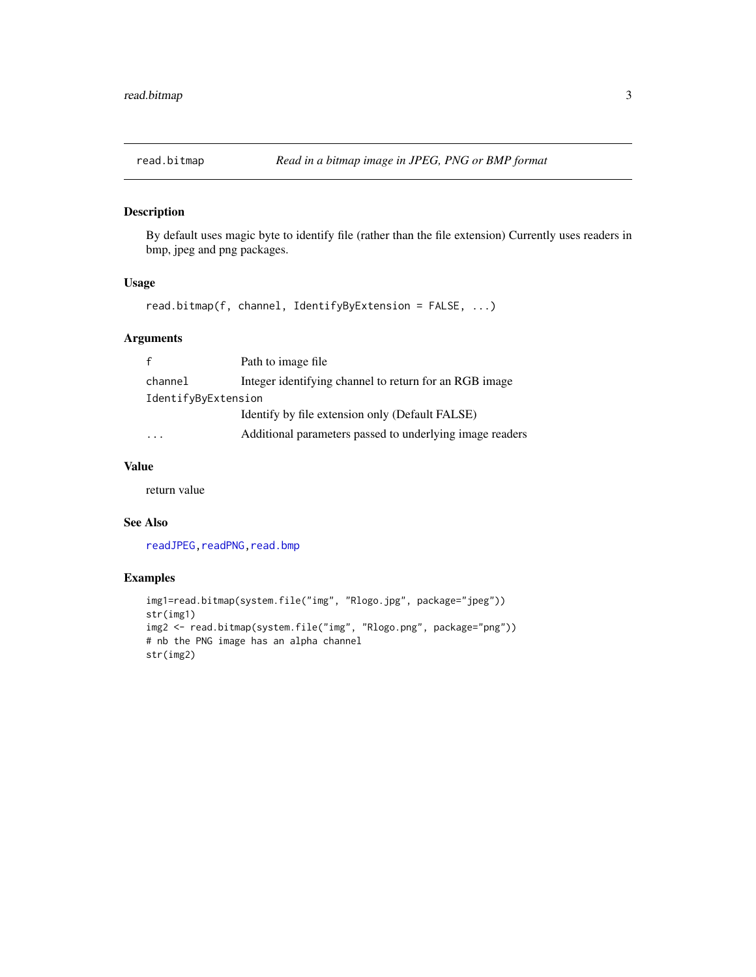<span id="page-2-1"></span><span id="page-2-0"></span>

#### Description

By default uses magic byte to identify file (rather than the file extension) Currently uses readers in bmp, jpeg and png packages.

#### Usage

```
read.bitmap(f, channel, IdentifyByExtension = FALSE, ...)
```
#### Arguments

|                     | Path to image file.                                      |
|---------------------|----------------------------------------------------------|
| channel             | Integer identifying channel to return for an RGB image   |
| IdentifyByExtension |                                                          |
|                     | Identify by file extension only (Default FALSE)          |
|                     | Additional parameters passed to underlying image readers |

#### Value

return value

#### See Also

readJPEG, readPNG, read.bmp

#### Examples

```
img1=read.bitmap(system.file("img", "Rlogo.jpg", package="jpeg"))
str(img1)
img2 <- read.bitmap(system.file("img", "Rlogo.png", package="png"))
# nb the PNG image has an alpha channel
str(img2)
```